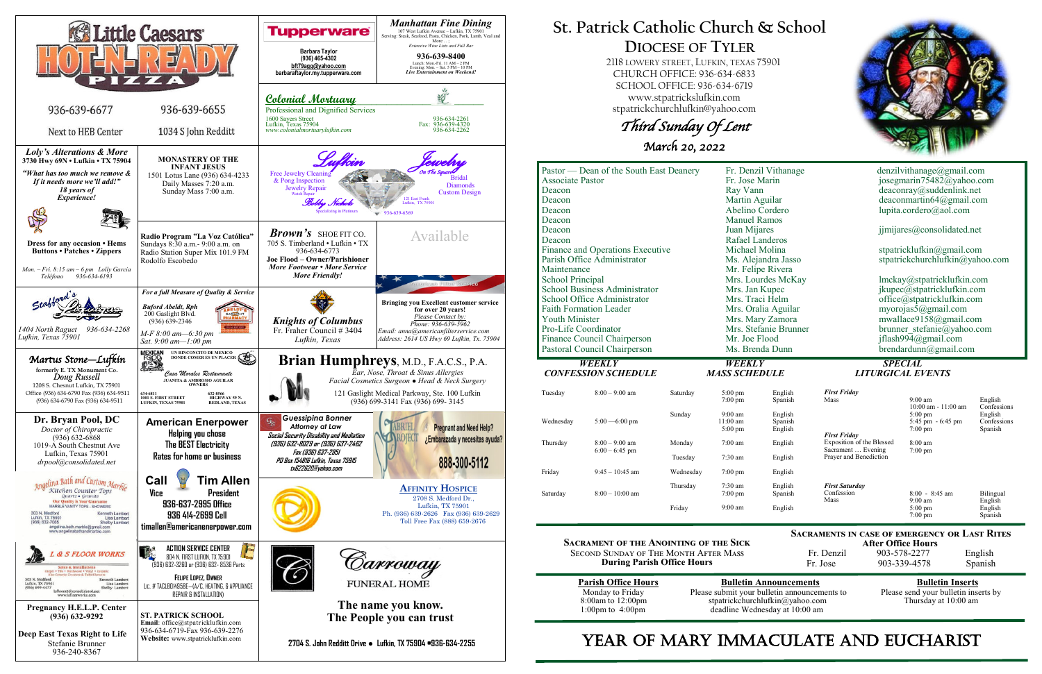

# **St. Patrick Catholic Church & School DIOCESE OF TYLER**

 2118 LOWERY STREET, LUFKIN, TEXAS 75901 CHURCH OFFICE: 936-634-6833 SCHOOL OFFICE: 936-634-6719 www.stpatrickslufkin.com stpatrickchurchlufkin@yahoo.com

Third Sunday Of Lent

March 20, 2022

| Pastor — Dean of the South East Deanery              | Fr. Denzil Vithanage         | $denzilvithanage(\theta gmail.com)$                                    |  |  |
|------------------------------------------------------|------------------------------|------------------------------------------------------------------------|--|--|
| Associate Pastor                                     | Fr. Jose Marin               | josegmarin75482@yahoo.com                                              |  |  |
| Deacon                                               | Ray Vann                     | deaconray@suddenlink.net                                               |  |  |
| Deacon                                               | Martin Aguilar               | deaconmartin64@gmail.com                                               |  |  |
| Deacon                                               | Abelino Cordero              | lupita.cordero@aol.com                                                 |  |  |
| Deacon                                               | <b>Manuel Ramos</b>          |                                                                        |  |  |
| Deacon                                               | Juan Mijares                 | jimijares@consolidated.net                                             |  |  |
| Deacon                                               | Rafael Landeros              |                                                                        |  |  |
| Finance and Operations Executive                     | Michael Molina               | stpatricklufkin@gmail.com                                              |  |  |
| Parish Office Administrator                          | Ms. Alejandra Jasso          | stpatrickchurchlufkin@yahoo.com                                        |  |  |
| Maintenance                                          | Mr. Felipe Rivera            |                                                                        |  |  |
| <b>School Principal</b><br>Mrs. Lourdes McKay        |                              | lmckay@stpatricklufkin.com                                             |  |  |
| <b>School Business Administrator</b>                 | Mrs. Jan Kupec               | jkupec@stpatricklufkin.com                                             |  |  |
| School Office Administrator                          | Mrs. Traci Helm              | office@stpatricklufkin.com                                             |  |  |
| <b>Faith Formation Leader</b><br>Mrs. Oralia Aguilar |                              | myorojas5@gmail.com                                                    |  |  |
| <b>Youth Minister</b>                                | Mrs. Mary Zamora             | mwallace9158@gmail.com                                                 |  |  |
| Pro-Life Coordinator                                 | Mrs. Stefanie Brunner        | brunner stefanie@yahoo.com                                             |  |  |
| Finance Council Chairperson                          | Mr. Joe Flood                | jflash994@gmail.com                                                    |  |  |
| Pastoral Council Chairperson                         | Ms. Brenda Dunn              | $b$ rendardunn@gmail.com                                               |  |  |
|                                                      |                              |                                                                        |  |  |
| <b>WEEKLY</b>                                        | <b>WEEKLY</b>                | <b>SPECIAL</b>                                                         |  |  |
| <b>CONFESSION SCHEDULE</b>                           | <b>MASS SCHEDULE</b>         | <b>LITURGICAL EVENTS</b>                                               |  |  |
| $8:00 - 9:00$ am<br>Tuesday<br>Saturday              | $5:00$ pm<br>English         | <b>First Friday</b>                                                    |  |  |
|                                                      | $7:00 \text{ pm}$<br>Spanish | <b>Mass</b><br>$9:00 \text{ am}$<br>English                            |  |  |
| Sunday                                               | $9:00$ am<br>English         | $10:00$ am - $11:00$ am<br>Confessions<br>English<br>$5:00 \text{ pm}$ |  |  |
| $5:00 - 6:00$ pm<br>Wednesday                        | $11:00$ am<br>Spanish        | $5:45$ pm $-6:45$ pm<br>Confessions                                    |  |  |
|                                                      | English<br>$5:00 \text{ pm}$ | $7:00 \text{ pm}$<br>Spanish                                           |  |  |
| $8:00 - 9:00$ am<br>Monday<br>Thursday               | $7:00$ am<br>English         | <b>First Friday</b><br>Exposition of the Blessed<br>8:00 am            |  |  |
| $6:00 - 6:45$ pm                                     |                              | Sacrament  Evening<br>$7:00 \text{ pm}$                                |  |  |
| Tuesday                                              | $7:30$ am<br>English         | Prayer and Benediction                                                 |  |  |

| Saturday | $5:00 \text{ pm}$<br>$7:00 \text{ pm}$ |
|----------|----------------------------------------|
| Sundav   | $9:00 \text{ am}$                      |

**Sacrament of the Anointing of the Sick** Second Sunday of The Month After Mass **During Parish Office Hours** 

| <b>Parish Office Hours</b> |
|----------------------------|
| Monday to Friday           |
| 8:00am to 12:00pm          |
| 1:00pm to $4:00$ pm        |
|                            |

**Parish Bulletin Announcements**<br> **Please send your bulletin inserts** by<br> **Please send your bulletin inserts** by Please submit your bulletin announcements to stpatrickchurchlufkin@yahoo.com Thursday at 10:00 am deadline Wednesday at 10:00 am

# YEAR OF MARY IMMACULATE AND EUCHARIST



**Sacraments in case of emergency or Last Rites** 

**After Office Hours**<br>Fr. Denzil 903-578-2277 903-578-2277 English Fr. Jose 903-339-4578 Spanish

| Wednesday | $5:00 - 6:00$ pm                     | эцциау    | 9.00 am<br>$11:00 \text{ am}$<br>$5:00 \text{ pm}$ |
|-----------|--------------------------------------|-----------|----------------------------------------------------|
| Thursday  | $8:00 - 9:00$ am<br>$6:00 - 6:45$ pm | Monday    | $7:00$ am                                          |
|           |                                      | Tuesday   | $7:30$ am                                          |
| Friday    | $9:45 - 10:45$ am                    | Wednesday | $7:00 \text{ pm}$                                  |
| Saturday  | $8:00-10:00$ am                      | Thursday  | $7:30 \text{ am}$<br>$7:00 \text{ pm}$             |
|           |                                      | Friday    | $9:00 \text{ am}$                                  |

#### English English Spanish English *First Saturday* Confession Mass 8:00 - 8:45 am 9:00 am 5:00 pm  $7:00 \text{ nm}$ Bilingual English English Spanish